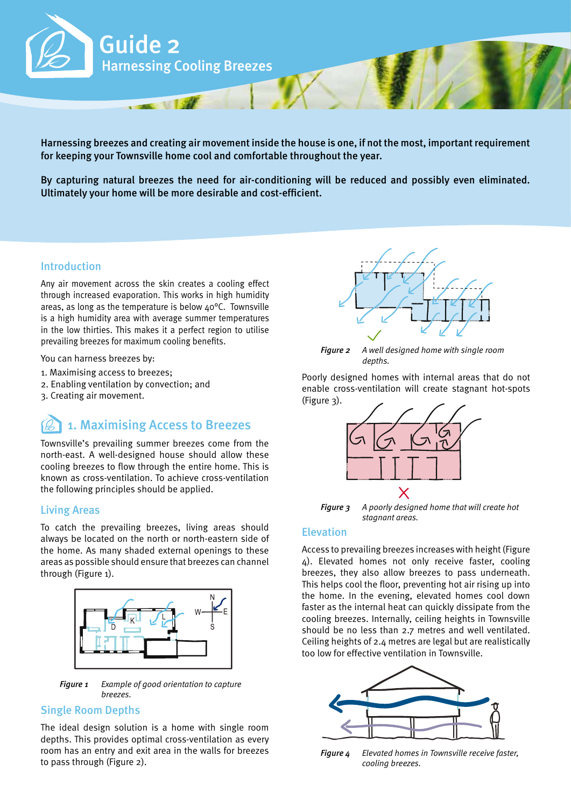

Harnessing breezes and creating air movement inside the house is one, if not the most, important requirement for keeping your Townsville home cool and comfortable throughout the year.

By capturing natural breezes the need for air-conditioning will be reduced and possibly even eliminated. Ultimately your home will be more desirable and cost-efficient.

#### Introduction

Any air movement across the skin creates a cooling effect through increased evaporation. This works in high humidity areas, as long as the temperature is below  $40^{\circ}$ C. Townsville is a high humidity area with average summer temperatures in the low thirties. This makes it a perfect region to utilise prevailing breezes for maximum cooling benefits.

You can harness breezes by:

- 1. Maximising access to breezes;
- 2. Enabling ventilation by convection; and
- 3. Creating air movement.

# 1. Maximising Access to Breezes

Townsville's prevailing summer breezes come from the north-east. A well-designed house should allow these cooling breezes to flow through the entire home. This is known as cross-ventilation. To achieve cross-ventilation the following principles should be applied.

#### Living Areas

To catch the prevailing breezes, living areas should always be located on the north or north-eastern side of the home. As many shaded external openings to these areas as possible should ensure that breezes can channel through (Figure 1).



*Figure 1 Example of good orientation to capture breezes.*

#### Single Room Depths

The ideal design solution is a home with single room depths. This provides optimal cross-ventilation as every room has an entry and exit area in the walls for breezes to pass through (Figure 2).



*Figure 2 A well designed home with single room depths.*

Poorly designed homes with internal areas that do not enable cross-ventilation will create stagnant hot-spots (Figure 3).



*Figure 3 A poorly designed home that will create hot stagnant areas.*

#### **Elevation**

Access to prevailing breezes increases with height (Figure 4). Elevated homes not only receive faster, cooling breezes, they also allow breezes to pass underneath. This helps cool the floor, preventing hot air rising up into the home. In the evening, elevated homes cool down faster as the internal heat can quickly dissipate from the cooling breezes. Internally, ceiling heights in Townsville should be no less than 2.7 metres and well ventilated. Ceiling heights of 2.4 metres are legal but are realistically too low for effective ventilation in Townsville.



*Figure 4 Elevated homes in Townsville receive faster, cooling breezes.*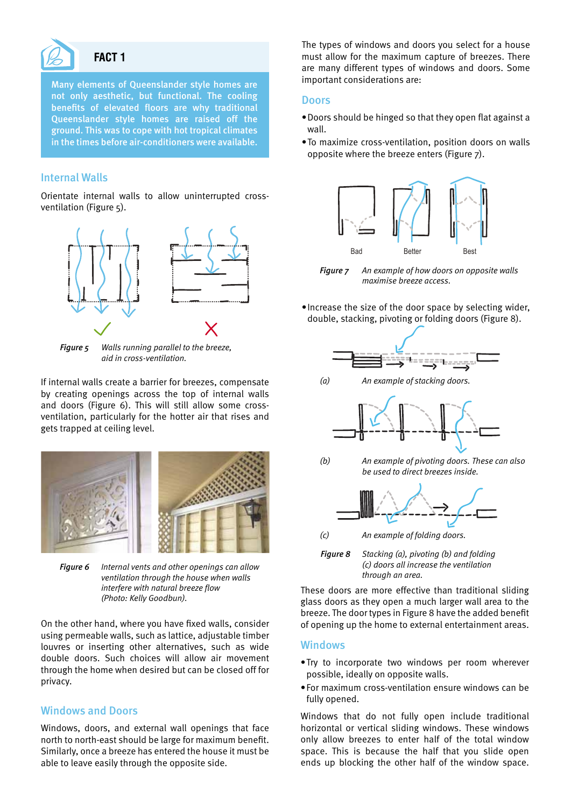

#### **FACT 1**

Many elements of Queenslander style homes are not only aesthetic, but functional. The cooling benefits of elevated floors are why traditional Queenslander style homes are raised off the ground. This was to cope with hot tropical climates in the times before air-conditioners were available.

#### Internal Walls

Orientate internal walls to allow uninterrupted crossventilation (Figure 5).



*Figure 5 Walls running parallel to the breeze, aid in cross-ventilation.*

If internal walls create a barrier for breezes, compensate by creating openings across the top of internal walls and doors (Figure 6). This will still allow some crossventilation, particularly for the hotter air that rises and gets trapped at ceiling level.



*Figure 6 Internal vents and other openings can allow ventilation through the house when walls interfere with natural breeze flow (Photo: Kelly Goodbun).* 

On the other hand, where you have fixed walls, consider using permeable walls, such as lattice, adjustable timber louvres or inserting other alternatives, such as wide double doors. Such choices will allow air movement through the home when desired but can be closed off for privacy.

#### Windows and Doors

Windows, doors, and external wall openings that face north to north-east should be large for maximum benefit. Similarly, once a breeze has entered the house it must be able to leave easily through the opposite side.

The types of windows and doors you select for a house must allow for the maximum capture of breezes. There are many different types of windows and doors. Some important considerations are:

#### **Doors**

- Doors should be hinged so that they open flat against a wall.
- • To maximize cross-ventilation, position doors on walls opposite where the breeze enters (Figure 7).



*Figure 7 An example of how doors on opposite walls maximise breeze access.*

• Increase the size of the door space by selecting wider, double, stacking, pivoting or folding doors (Figure 8).



*(a) An example of stacking doors.* 



*(b) An example of pivoting doors. These can also* 





*<sup>(</sup>c) An example of folding doors.* 



These doors are more effective than traditional sliding glass doors as they open a much larger wall area to the breeze. The door types in Figure 8 have the added benefit of opening up the home to external entertainment areas.

#### Windows

- • Try to incorporate two windows per room wherever possible, ideally on opposite walls.
- • For maximum cross-ventilation ensure windows can be fully opened.

Windows that do not fully open include traditional horizontal or vertical sliding windows. These windows only allow breezes to enter half of the total window space. This is because the half that you slide open ends up blocking the other half of the window space.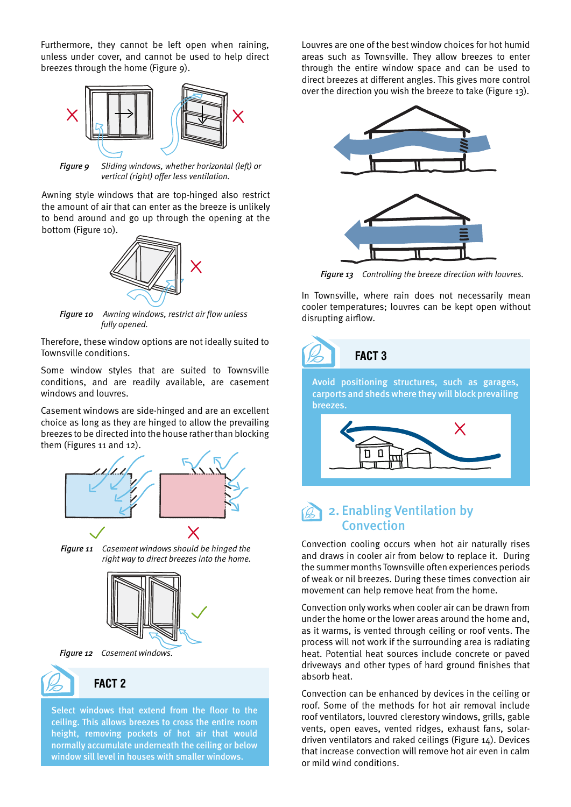Furthermore, they cannot be left open when raining, unless under cover, and cannot be used to help direct breezes through the home (Figure 9).



*Figure 9 Sliding windows, whether horizontal (left) or vertical (right) offer less ventilation.*

Awning style windows that are top-hinged also restrict the amount of air that can enter as the breeze is unlikely to bend around and go up through the opening at the bottom (Figure 10).



*Figure 10 Awning windows, restrict air flow unless fully opened.*

Therefore, these window options are not ideally suited to Townsville conditions.

Some window styles that are suited to Townsville conditions, and are readily available, are casement windows and louvres.

Casement windows are side-hinged and are an excellent choice as long as they are hinged to allow the prevailing breezes to be directed into the house rather than blocking them (Figures 11 and 12).



*Figure 11 Casement windows should be hinged the right way to direct breezes into the home.* 







```
FACT 2
```
Select windows that extend from the floor to the ceiling. This allows breezes to cross the entire room height, removing pockets of hot air that would normally accumulate underneath the ceiling or below window sill level in houses with smaller windows.

Louvres are one of the best window choices for hot humid areas such as Townsville. They allow breezes to enter through the entire window space and can be used to direct breezes at different angles. This gives more control over the direction you wish the breeze to take (Figure 13).



*Figure 13 Controlling the breeze direction with louvres.*

In Townsville, where rain does not necessarily mean cooler temperatures; louvres can be kept open without disrupting airflow.

# **FACT 3**

Avoid positioning structures, such as garages, carports and sheds where they will block prevailing breezes.



### 2. Enabling Ventilation by Convection

Convection cooling occurs when hot air naturally rises and draws in cooler air from below to replace it. During the summer months Townsville often experiences periods of weak or nil breezes. During these times convection air movement can help remove heat from the home.

Convection only works when cooler air can be drawn from under the home or the lower areas around the home and, as it warms, is vented through ceiling or roof vents. The process will not work if the surrounding area is radiating heat. Potential heat sources include concrete or paved driveways and other types of hard ground finishes that absorb heat.

Convection can be enhanced by devices in the ceiling or roof. Some of the methods for hot air removal include roof ventilators, louvred clerestory windows, grills, gable vents, open eaves, vented ridges, exhaust fans, solardriven ventilators and raked ceilings (Figure 14). Devices that increase convection will remove hot air even in calm or mild wind conditions.